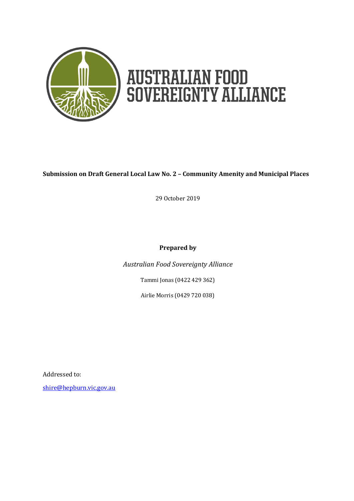

### <span id="page-0-0"></span>**Submission on Draft General Local Law No. 2 – Community Amenity and Municipal Places**

29 October 2019

#### **Prepared by**

*Australian Food Sovereignty Alliance*

Tammi Jonas [\(0422](https://www.google.com/search?q=jonai+farms+and+meatsmiths%E2%80%8B&rlz=1C1CHBF_en-GBAU863AU863&oq=jonai+&aqs=chrome.1.69i57j69i59j0l4.4216j0j7&sourceid=chrome&ie=UTF-8) 429 362)

Airlie Morris (0429 720 038)

Addressed to:

[shire@hepburn.vic.gov.au](mailto:shire@hepburn.vic.gov.au)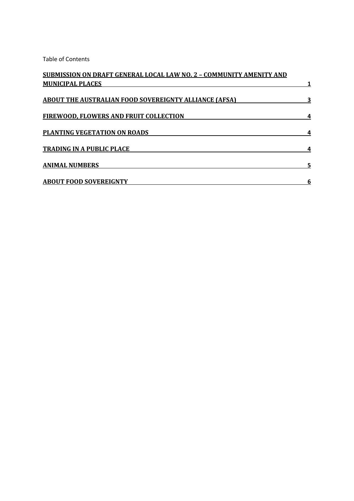Table of Contents

| <b>SUBMISSION ON DRAFT GENERAL LOCAL LAW NO. 2 - COMMUNITY AMENITY AND</b>                                                               |   |                                                           |  |
|------------------------------------------------------------------------------------------------------------------------------------------|---|-----------------------------------------------------------|--|
| <b>MUNICIPAL PLACES</b><br><b>ABOUT THE AUSTRALIAN FOOD SOVEREIGNTY ALLIANCE (AFSA)</b><br><b>FIREWOOD, FLOWERS AND FRUIT COLLECTION</b> | 3 |                                                           |  |
|                                                                                                                                          |   | PLANTING VEGETATION ON ROADS                              |  |
|                                                                                                                                          |   | <b>TRADING IN A PUBLIC PLACE</b><br><b>ANIMAL NUMBERS</b> |  |
| 5                                                                                                                                        |   |                                                           |  |
| <b>ABOUT FOOD SOVEREIGNTY</b>                                                                                                            | 6 |                                                           |  |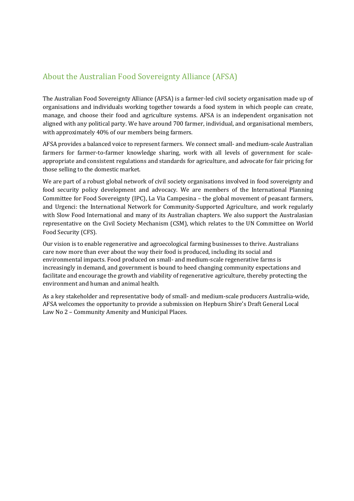# <span id="page-2-0"></span>About the Australian Food Sovereignty Alliance (AFSA)

The Australian Food Sovereignty Alliance (AFSA) is a farmer-led civil society organisation made up of organisations and individuals working together towards a food system in which people can create, manage, and choose their food and agriculture systems. AFSA is an independent organisation not aligned with any political party. We have around 700 farmer, individual, and organisational members, with approximately 40% of our members being farmers.

AFSA provides a balanced voice to represent farmers. We connect small- and medium-scale Australian farmers for farmer-to-farmer knowledge sharing, work with all levels of government for scaleappropriate and consistent regulations and standards for agriculture, and advocate for fair pricing for those selling to the domestic market.

We are part of a robust global network of civil society organisations involved in food sovereignty and food security policy development and advocacy. We are members of the International Planning Committee for Food Sovereignty (IPC), La Via Campesina – the global movement of peasant farmers, and Urgenci: the International Network for Community-Supported Agriculture, and work regularly with Slow Food International and many of its Australian chapters. We also support the Australasian representative on the Civil Society Mechanism (CSM), which relates to the UN Committee on World Food Security (CFS).

Our vision is to enable regenerative and agroecological farming businesses to thrive. Australians care now more than ever about the way their food is produced, including its social and environmental impacts. Food produced on small- and medium-scale regenerative farms is increasingly in demand, and government is bound to heed changing community expectations and facilitate and encourage the growth and viability of regenerative agriculture, thereby protecting the environment and human and animal health.

As a key stakeholder and representative body of small- and medium-scale producers Australia-wide, AFSA welcomes the opportunity to provide a submission on Hepburn Shire's Draft General Local Law No 2 – Community Amenity and Municipal Places.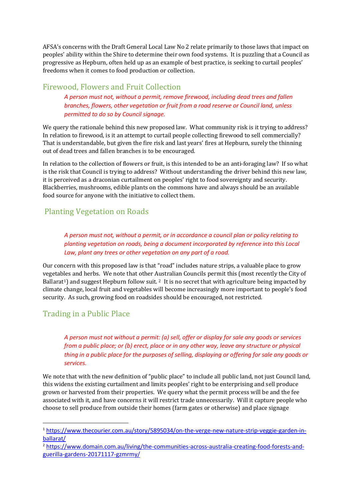AFSA's concerns with the Draft General Local Law No 2 relate primarily to those laws that impact on peoples' ability within the Shire to determine their own food systems. It is puzzling that a Council as progressive as Hepburn, often held up as an example of best practice, is seeking to curtail peoples' freedoms when it comes to food production or collection.

### <span id="page-3-0"></span>Firewood, Flowers and Fruit Collection

*A person must not, without a permit, remove firewood, including dead trees and fallen branches, flowers, other vegetation or fruit from a road reserve or Council land, unless permitted to do so by Council signage.*

We query the rationale behind this new proposed law. What community risk is it trying to address? In relation to firewood, is it an attempt to curtail people collecting firewood to sell commercially? That is understandable, but given the fire risk and last years' fires at Hepburn, surely the thinning out of dead trees and fallen branches is to be encouraged.

In relation to the collection of flowers or fruit, is this intended to be an anti-foraging law? If so what is the risk that Council is trying to address? Without understanding the driver behind this new law, it is perceived as a draconian curtailment on peoples' right to food sovereignty and security. Blackberries, mushrooms, edible plants on the commons have and always should be an available food source for anyone with the initiative to collect them.

## <span id="page-3-1"></span>Planting Vegetation on Roads

*A person must not, without a permit, or in accordance a council plan or policy relating to planting vegetation on roads, being a document incorporated by reference into this Local Law, plant any trees or other vegetation on any part of a road.*

Our concern with this proposed law is that "road" includes nature strips, a valuable place to grow vegetables and herbs. We note that other Australian Councils permit this (most recently the City of Ballarat<sup>1</sup>) and suggest Hepburn follow suit. <sup>2</sup> It is no secret that with agriculture being impacted by climate change, local fruit and vegetables will become increasingly more important to people's food security. As such, growing food on roadsides should be encouraged, not restricted.

### <span id="page-3-2"></span>Trading in a Public Place

**.** 

*A person must not without a permit: (a) sell, offer or display for sale any goods or services from a public place; or (b) erect, place or in any other way, leave any structure or physical thing in a public place for the purposes of selling, displaying or offering for sale any goods or services.*

We note that with the new definition of "public place" to include all public land, not just Council land, this widens the existing curtailment and limits peoples' right to be enterprising and sell produce grown or harvested from their properties. We query what the permit process will be and the fee associated with it, and have concerns it will restrict trade unnecessarily. Will it capture people who choose to sell produce from outside their homes (farm gates or otherwise) and place signage

<sup>1</sup> [https://www.thecourier.com.au/story/5895034/on-the-verge-new-nature-strip-veggie-garden-in](https://www.thecourier.com.au/story/5895034/on-the-verge-new-nature-strip-veggie-garden-in-ballarat/)[ballarat/](https://www.thecourier.com.au/story/5895034/on-the-verge-new-nature-strip-veggie-garden-in-ballarat/)

<sup>2</sup> [https://www.domain.com.au/living/the-communities-across-australia-creating-food-forests-and](https://www.domain.com.au/living/the-communities-across-australia-creating-food-forests-and-guerilla-gardens-20171117-gzmrmy/)[guerilla-gardens-20171117-gzmrmy/](https://www.domain.com.au/living/the-communities-across-australia-creating-food-forests-and-guerilla-gardens-20171117-gzmrmy/)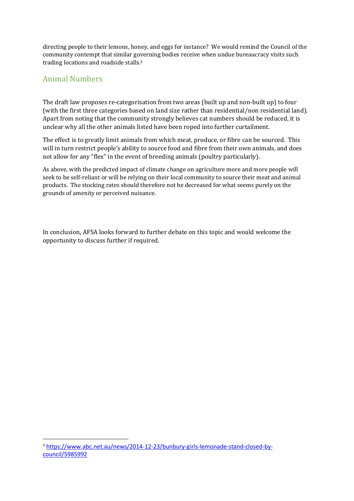directing people to their lemons, honey, and eggs for instance? We would remind the Council of the community contempt that similar governing bodies receive when undue bureaucracy visits such trading locations and roadside stalls.<sup>3</sup>

# <span id="page-4-0"></span>Animal Numbers

-

The draft law proposes re-categorisation from two areas (built up and non-built up) to four (with the first three categories based on land size rather than residential/non residential land). Apart from noting that the community strongly believes cat numbers should be reduced, it is unclear why all the other animals listed have been roped into further curtailment.

The effect is to greatly limit animals from which meat, produce, or fibre can be sourced. This will in turn restrict people's ability to source food and fibre from their own animals, and does not allow for any "flex" in the event of breeding animals (poultry particularly).

As above, with the predicted impact of climate change on agriculture more and more people will seek to be self-reliant or will be relying on their local community to source their meat and animal products. The stocking rates should therefore not be decreased for what seems purely on the grounds of amenity or perceived nuisance.

In conclusion, AFSA looks forward to further debate on this topic and would welcome the opportunity to discuss further if required.

<sup>3</sup> [https://www.abc.net.au/news/2014-12-23/bunbury-girls-lemonade-stand-closed-by](https://www.abc.net.au/news/2014-12-23/bunbury-girls-lemonade-stand-closed-by-council/5985992)[council/5985992](https://www.abc.net.au/news/2014-12-23/bunbury-girls-lemonade-stand-closed-by-council/5985992)